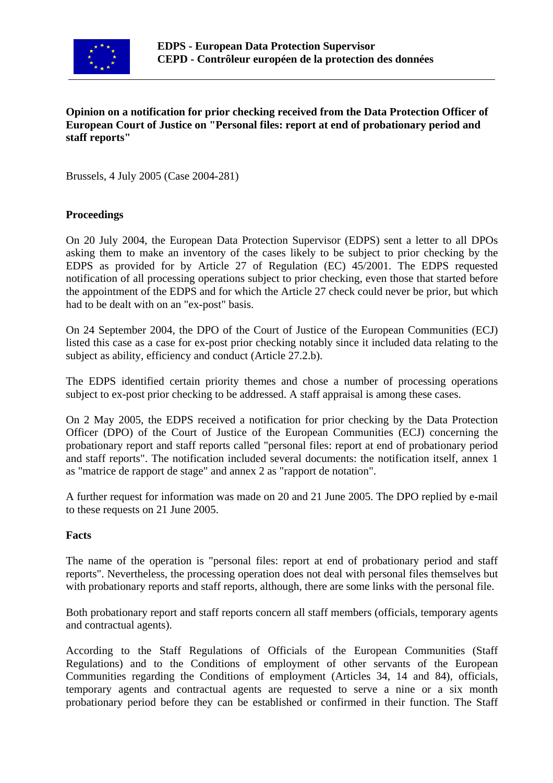

## **Opinion on a notification for prior checking received from the Data Protection Officer of European Court of Justice on "Personal files: report at end of probationary period and staff reports"**

Brussels, 4 July 2005 (Case 2004-281)

#### **Proceedings**

On 20 July 2004, the European Data Protection Supervisor (EDPS) sent a letter to all DPOs asking them to make an inventory of the cases likely to be subject to prior checking by the EDPS as provided for by Article 27 of Regulation (EC) 45/2001. The EDPS requested notification of all processing operations subject to prior checking, even those that started before the appointment of the EDPS and for which the Article 27 check could never be prior, but which had to be dealt with on an "ex-post" basis.

On 24 September 2004, the DPO of the Court of Justice of the European Communities (ECJ) listed this case as a case for ex-post prior checking notably since it included data relating to the subject as ability, efficiency and conduct (Article 27.2.b).

The EDPS identified certain priority themes and chose a number of processing operations subject to ex-post prior checking to be addressed. A staff appraisal is among these cases.

On 2 May 2005, the EDPS received a notification for prior checking by the Data Protection Officer (DPO) of the Court of Justice of the European Communities (ECJ) concerning the probationary report and staff reports called "personal files: report at end of probationary period and staff reports". The notification included several documents: the notification itself, annex 1 as "matrice de rapport de stage" and annex 2 as "rapport de notation".

A further request for information was made on 20 and 21 June 2005. The DPO replied by e-mail to these requests on 21 June 2005.

#### **Facts**

The name of the operation is "personal files: report at end of probationary period and staff reports". Nevertheless, the processing operation does not deal with personal files themselves but with probationary reports and staff reports, although, there are some links with the personal file.

Both probationary report and staff reports concern all staff members (officials, temporary agents and contractual agents).

According to the Staff Regulations of Officials of the European Communities (Staff Regulations) and to the Conditions of employment of other servants of the European Communities regarding the Conditions of employment (Articles 34, 14 and 84), officials, temporary agents and contractual agents are requested to serve a nine or a six month probationary period before they can be established or confirmed in their function. The Staff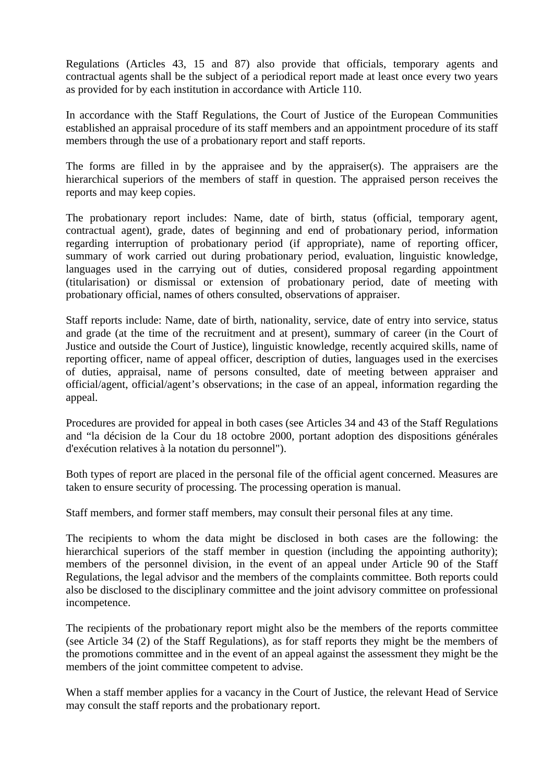Regulations (Articles 43, 15 and 87) also provide that officials, temporary agents and contractual agents shall be the subject of a periodical report made at least once every two years as provided for by each institution in accordance with Article 110.

In accordance with the Staff Regulations, the Court of Justice of the European Communities established an appraisal procedure of its staff members and an appointment procedure of its staff members through the use of a probationary report and staff reports.

The forms are filled in by the appraisee and by the appraiser(s). The appraisers are the hierarchical superiors of the members of staff in question. The appraised person receives the reports and may keep copies.

The probationary report includes: Name, date of birth, status (official, temporary agent, contractual agent), grade, dates of beginning and end of probationary period, information regarding interruption of probationary period (if appropriate), name of reporting officer, summary of work carried out during probationary period, evaluation, linguistic knowledge, languages used in the carrying out of duties, considered proposal regarding appointment (titularisation) or dismissal or extension of probationary period, date of meeting with probationary official, names of others consulted, observations of appraiser.

Staff reports include: Name, date of birth, nationality, service, date of entry into service, status and grade (at the time of the recruitment and at present), summary of career (in the Court of Justice and outside the Court of Justice), linguistic knowledge, recently acquired skills, name of reporting officer, name of appeal officer, description of duties, languages used in the exercises of duties, appraisal, name of persons consulted, date of meeting between appraiser and official/agent, official/agent's observations; in the case of an appeal, information regarding the appeal.

Procedures are provided for appeal in both cases (see Articles 34 and 43 of the Staff Regulations and "la décision de la Cour du 18 octobre 2000, portant adoption des dispositions générales d'exécution relatives à la notation du personnel").

Both types of report are placed in the personal file of the official agent concerned. Measures are taken to ensure security of processing. The processing operation is manual.

Staff members, and former staff members, may consult their personal files at any time.

The recipients to whom the data might be disclosed in both cases are the following: the hierarchical superiors of the staff member in question (including the appointing authority); members of the personnel division, in the event of an appeal under Article 90 of the Staff Regulations, the legal advisor and the members of the complaints committee. Both reports could also be disclosed to the disciplinary committee and the joint advisory committee on professional incompetence.

The recipients of the probationary report might also be the members of the reports committee (see Article 34 (2) of the Staff Regulations), as for staff reports they might be the members of the promotions committee and in the event of an appeal against the assessment they might be the members of the joint committee competent to advise.

When a staff member applies for a vacancy in the Court of Justice, the relevant Head of Service may consult the staff reports and the probationary report.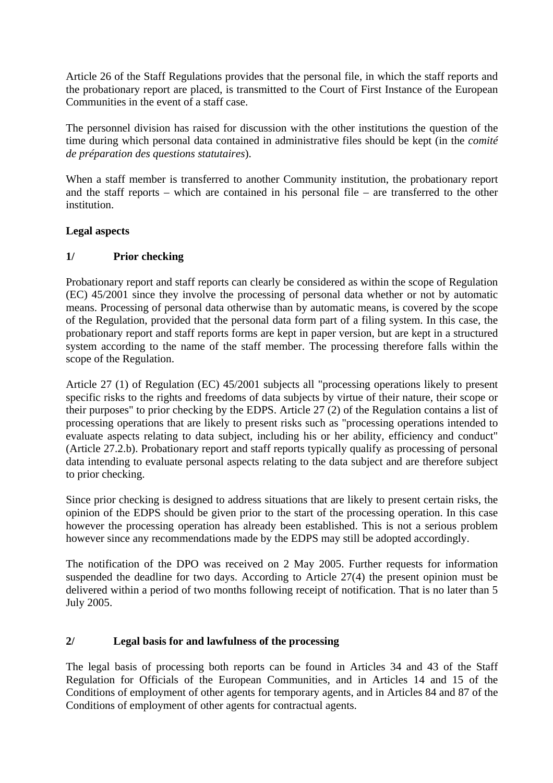Article 26 of the Staff Regulations provides that the personal file, in which the staff reports and the probationary report are placed, is transmitted to the Court of First Instance of the European Communities in the event of a staff case.

The personnel division has raised for discussion with the other institutions the question of the time during which personal data contained in administrative files should be kept (in the *comité de préparation des questions statutaires*).

When a staff member is transferred to another Community institution, the probationary report and the staff reports – which are contained in his personal file – are transferred to the other institution.

#### **Legal aspects**

#### **1/ Prior checking**

Probationary report and staff reports can clearly be considered as within the scope of Regulation (EC) 45/2001 since they involve the processing of personal data whether or not by automatic means. Processing of personal data otherwise than by automatic means, is covered by the scope of the Regulation, provided that the personal data form part of a filing system. In this case, the probationary report and staff reports forms are kept in paper version, but are kept in a structured system according to the name of the staff member. The processing therefore falls within the scope of the Regulation.

Article 27 (1) of Regulation (EC) 45/2001 subjects all "processing operations likely to present specific risks to the rights and freedoms of data subjects by virtue of their nature, their scope or their purposes" to prior checking by the EDPS. Article 27 (2) of the Regulation contains a list of processing operations that are likely to present risks such as "processing operations intended to evaluate aspects relating to data subject, including his or her ability, efficiency and conduct" (Article 27.2.b). Probationary report and staff reports typically qualify as processing of personal data intending to evaluate personal aspects relating to the data subject and are therefore subject to prior checking.

Since prior checking is designed to address situations that are likely to present certain risks, the opinion of the EDPS should be given prior to the start of the processing operation. In this case however the processing operation has already been established. This is not a serious problem however since any recommendations made by the EDPS may still be adopted accordingly.

The notification of the DPO was received on 2 May 2005. Further requests for information suspended the deadline for two days. According to Article 27(4) the present opinion must be delivered within a period of two months following receipt of notification. That is no later than 5 July 2005.

## **2/ Legal basis for and lawfulness of the processing**

The legal basis of processing both reports can be found in Articles 34 and 43 of the Staff Regulation for Officials of the European Communities, and in Articles 14 and 15 of the Conditions of employment of other agents for temporary agents, and in Articles 84 and 87 of the Conditions of employment of other agents for contractual agents.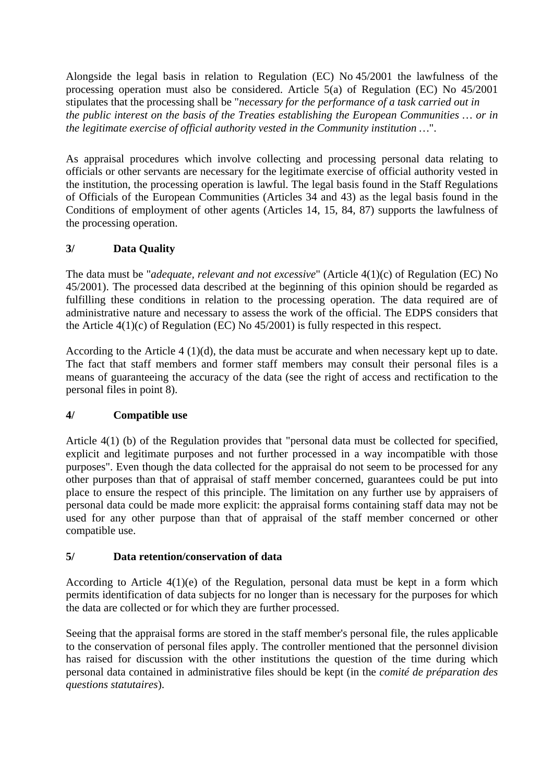Alongside the legal basis in relation to Regulation (EC) No 45/2001 the lawfulness of the processing operation must also be considered. Article 5(a) of Regulation (EC) No 45/2001 stipulates that the processing shall be "*necessary for the performance of a task carried out in the public interest on the basis of the Treaties establishing the European Communities … or in the legitimate exercise of official authority vested in the Community institution …*".

As appraisal procedures which involve collecting and processing personal data relating to officials or other servants are necessary for the legitimate exercise of official authority vested in the institution, the processing operation is lawful. The legal basis found in the Staff Regulations of Officials of the European Communities (Articles 34 and 43) as the legal basis found in the Conditions of employment of other agents (Articles 14, 15, 84, 87) supports the lawfulness of the processing operation.

# **3/ Data Quality**

The data must be "*adequate, relevant and not excessive*" (Article 4(1)(c) of Regulation (EC) No 45/2001). The processed data described at the beginning of this opinion should be regarded as fulfilling these conditions in relation to the processing operation. The data required are of administrative nature and necessary to assess the work of the official. The EDPS considers that the Article  $4(1)(c)$  of Regulation (EC) No  $45/2001$ ) is fully respected in this respect.

According to the Article 4 (1)(d), the data must be accurate and when necessary kept up to date. The fact that staff members and former staff members may consult their personal files is a means of guaranteeing the accuracy of the data (see the right of access and rectification to the personal files in point 8).

## **4/ Compatible use**

Article 4(1) (b) of the Regulation provides that "personal data must be collected for specified, explicit and legitimate purposes and not further processed in a way incompatible with those purposes". Even though the data collected for the appraisal do not seem to be processed for any other purposes than that of appraisal of staff member concerned, guarantees could be put into place to ensure the respect of this principle. The limitation on any further use by appraisers of personal data could be made more explicit: the appraisal forms containing staff data may not be used for any other purpose than that of appraisal of the staff member concerned or other compatible use.

## **5/ Data retention/conservation of data**

According to Article 4(1)(e) of the Regulation, personal data must be kept in a form which permits identification of data subjects for no longer than is necessary for the purposes for which the data are collected or for which they are further processed.

Seeing that the appraisal forms are stored in the staff member's personal file, the rules applicable to the conservation of personal files apply. The controller mentioned that the personnel division has raised for discussion with the other institutions the question of the time during which personal data contained in administrative files should be kept (in the *comité de préparation des questions statutaires*).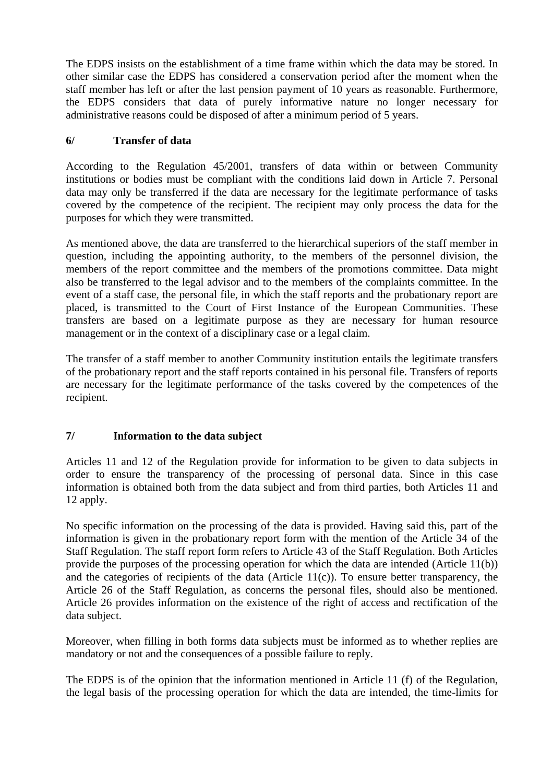The EDPS insists on the establishment of a time frame within which the data may be stored. In other similar case the EDPS has considered a conservation period after the moment when the staff member has left or after the last pension payment of 10 years as reasonable. Furthermore, the EDPS considers that data of purely informative nature no longer necessary for administrative reasons could be disposed of after a minimum period of 5 years.

## **6/ Transfer of data**

According to the Regulation 45/2001, transfers of data within or between Community institutions or bodies must be compliant with the conditions laid down in Article 7. Personal data may only be transferred if the data are necessary for the legitimate performance of tasks covered by the competence of the recipient. The recipient may only process the data for the purposes for which they were transmitted.

As mentioned above, the data are transferred to the hierarchical superiors of the staff member in question, including the appointing authority, to the members of the personnel division, the members of the report committee and the members of the promotions committee. Data might also be transferred to the legal advisor and to the members of the complaints committee. In the event of a staff case, the personal file, in which the staff reports and the probationary report are placed, is transmitted to the Court of First Instance of the European Communities. These transfers are based on a legitimate purpose as they are necessary for human resource management or in the context of a disciplinary case or a legal claim.

The transfer of a staff member to another Community institution entails the legitimate transfers of the probationary report and the staff reports contained in his personal file. Transfers of reports are necessary for the legitimate performance of the tasks covered by the competences of the recipient.

## **7/ Information to the data subject**

Articles 11 and 12 of the Regulation provide for information to be given to data subjects in order to ensure the transparency of the processing of personal data. Since in this case information is obtained both from the data subject and from third parties, both Articles 11 and 12 apply.

No specific information on the processing of the data is provided. Having said this, part of the information is given in the probationary report form with the mention of the Article 34 of the Staff Regulation. The staff report form refers to Article 43 of the Staff Regulation. Both Articles provide the purposes of the processing operation for which the data are intended (Article 11(b)) and the categories of recipients of the data (Article  $11(c)$ ). To ensure better transparency, the Article 26 of the Staff Regulation, as concerns the personal files, should also be mentioned. Article 26 provides information on the existence of the right of access and rectification of the data subject.

Moreover, when filling in both forms data subjects must be informed as to whether replies are mandatory or not and the consequences of a possible failure to reply.

The EDPS is of the opinion that the information mentioned in Article 11 (f) of the Regulation, the legal basis of the processing operation for which the data are intended, the time-limits for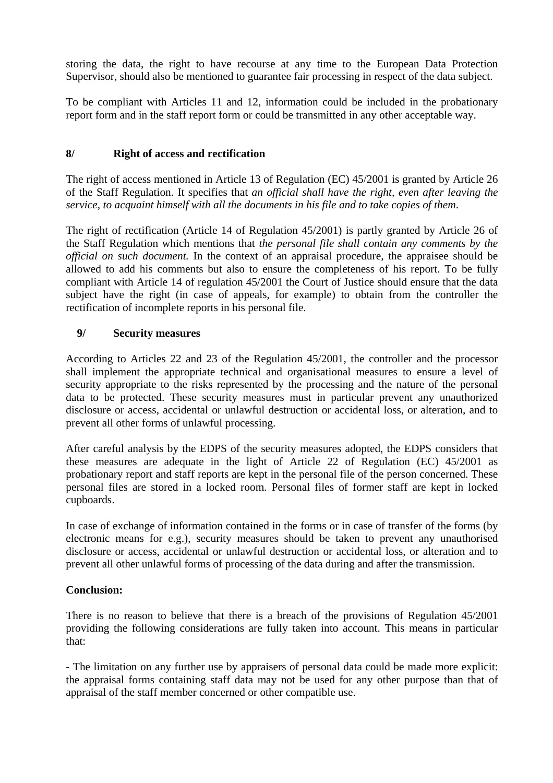storing the data, the right to have recourse at any time to the European Data Protection Supervisor, should also be mentioned to guarantee fair processing in respect of the data subject.

To be compliant with Articles 11 and 12, information could be included in the probationary report form and in the staff report form or could be transmitted in any other acceptable way.

## **8/ Right of access and rectification**

The right of access mentioned in Article 13 of Regulation (EC) 45/2001 is granted by Article 26 of the Staff Regulation. It specifies that *an official shall have the right, even after leaving the service, to acquaint himself with all the documents in his file and to take copies of them*.

The right of rectification (Article 14 of Regulation 45/2001) is partly granted by Article 26 of the Staff Regulation which mentions that *the personal file shall contain any comments by the official on such document.* In the context of an appraisal procedure, the appraisee should be allowed to add his comments but also to ensure the completeness of his report. To be fully compliant with Article 14 of regulation 45/2001 the Court of Justice should ensure that the data subject have the right (in case of appeals, for example) to obtain from the controller the rectification of incomplete reports in his personal file.

## **9/ Security measures**

According to Articles 22 and 23 of the Regulation 45/2001, the controller and the processor shall implement the appropriate technical and organisational measures to ensure a level of security appropriate to the risks represented by the processing and the nature of the personal data to be protected. These security measures must in particular prevent any unauthorized disclosure or access, accidental or unlawful destruction or accidental loss, or alteration, and to prevent all other forms of unlawful processing.

After careful analysis by the EDPS of the security measures adopted, the EDPS considers that these measures are adequate in the light of Article 22 of Regulation (EC) 45/2001 as probationary report and staff reports are kept in the personal file of the person concerned. These personal files are stored in a locked room. Personal files of former staff are kept in locked cupboards.

In case of exchange of information contained in the forms or in case of transfer of the forms (by electronic means for e.g.), security measures should be taken to prevent any unauthorised disclosure or access, accidental or unlawful destruction or accidental loss, or alteration and to prevent all other unlawful forms of processing of the data during and after the transmission.

#### **Conclusion:**

There is no reason to believe that there is a breach of the provisions of Regulation 45/2001 providing the following considerations are fully taken into account. This means in particular that:

- The limitation on any further use by appraisers of personal data could be made more explicit: the appraisal forms containing staff data may not be used for any other purpose than that of appraisal of the staff member concerned or other compatible use.